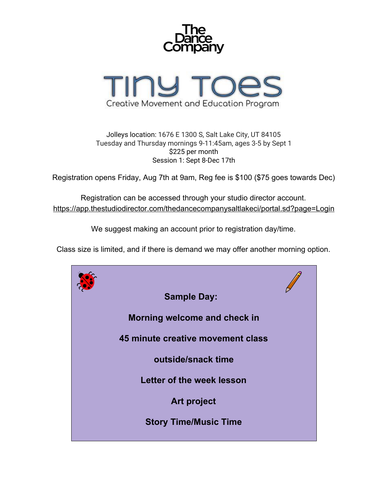



Jolleys location: 1676 E 1300 S, Salt Lake City, UT 84105 Tuesday and Thursday mornings 9-11:45am, ages 3-5 by Sept 1 \$225 per month Session 1: Sept 8-Dec 17th

Registration opens Friday, Aug 7th at 9am, Reg fee is \$100 (\$75 goes towards Dec)

Registration can be accessed through your studio director account. <https://app.thestudiodirector.com/thedancecompanysaltlakeci/portal.sd?page=Login>

We suggest making an account prior to registration day/time.

Class size is limited, and if there is demand we may offer another morning option.